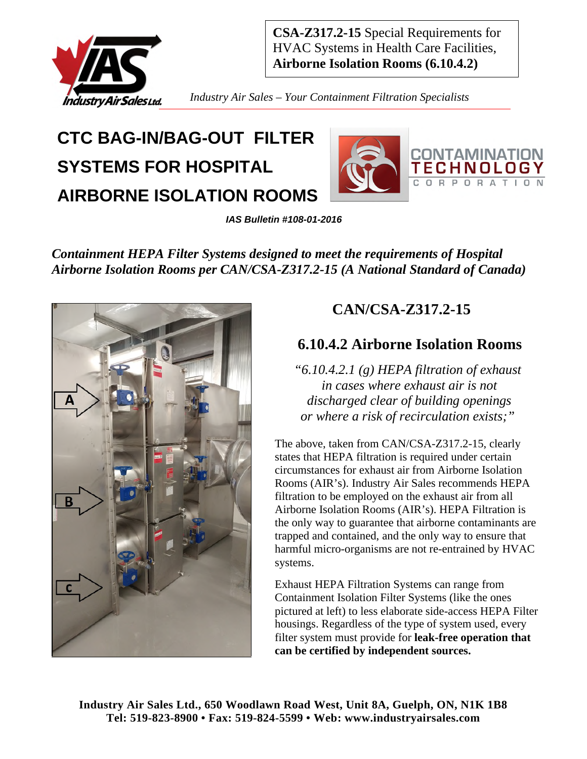

*Industry Air Sales – Your Containment Filtration Specialists* 

# **CTC BAG-IN/BAG-OUT FILTER SYSTEMS FOR HOSPITAL AIRBORNE ISOLATION ROOMS**



*IAS Bulletin #108-01-2016* 

*Containment HEPA Filter Systems designed to meet the requirements of Hospital Airborne Isolation Rooms per CAN/CSA-Z317.2-15 (A National Standard of Canada)* 



### **CAN/CSA-Z317.2-15**

### **6.10.4.2 Airborne Isolation Rooms**

*"6.10.4.2.1 (g) HEPA filtration of exhaust in cases where exhaust air is not discharged clear of building openings or where a risk of recirculation exists;"* 

The above, taken from CAN/CSA-Z317.2-15, clearly states that HEPA filtration is required under certain circumstances for exhaust air from Airborne Isolation Rooms (AIR's). Industry Air Sales recommends HEPA filtration to be employed on the exhaust air from all Airborne Isolation Rooms (AIR's). HEPA Filtration is the only way to guarantee that airborne contaminants are trapped and contained, and the only way to ensure that harmful micro-organisms are not re-entrained by HVAC systems.

Exhaust HEPA Filtration Systems can range from Containment Isolation Filter Systems (like the ones pictured at left) to less elaborate side-access HEPA Filter housings. Regardless of the type of system used, every filter system must provide for **leak-free operation that can be certified by independent sources.**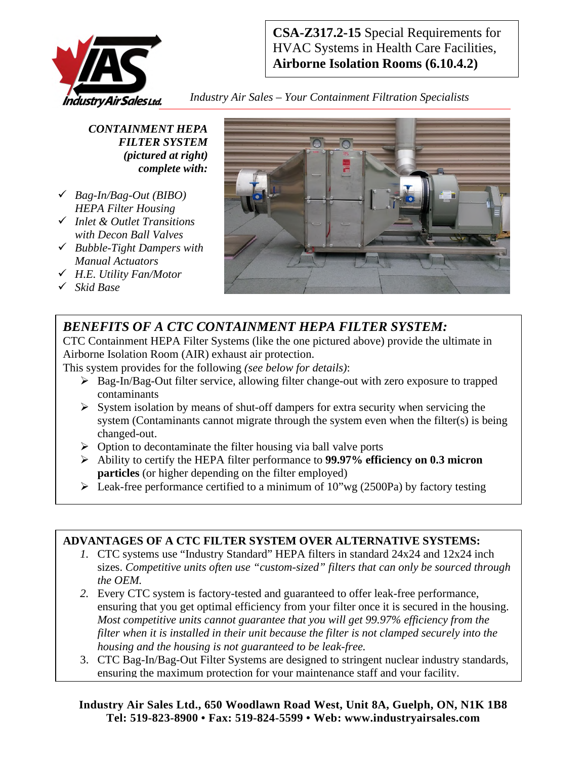

*Industry Air Sales – Your Containment Filtration Specialists* 

*CONTAINMENT HEPA FILTER SYSTEM (pictured at right) complete with:* 

- *Bag-In/Bag-Out (BIBO) HEPA Filter Housing*
- *Inlet & Outlet Transitions with Decon Ball Valves*
- *Bubble-Tight Dampers with Manual Actuators*
- *H.E. Utility Fan/Motor*
- *Skid Base*



### *BENEFITS OF A CTC CONTAINMENT HEPA FILTER SYSTEM:*

CTC Containment HEPA Filter Systems (like the one pictured above) provide the ultimate in Airborne Isolation Room (AIR) exhaust air protection.

This system provides for the following *(see below for details)*:

- Bag-In/Bag-Out filter service, allowing filter change-out with zero exposure to trapped contaminants
- $\triangleright$  System isolation by means of shut-off dampers for extra security when servicing the system (Contaminants cannot migrate through the system even when the filter(s) is being changed-out.
- $\triangleright$  Option to decontaminate the filter housing via ball valve ports
- Ability to certify the HEPA filter performance to **99.97% efficiency on 0.3 micron particles** (or higher depending on the filter employed)
- $\triangleright$  Leak-free performance certified to a minimum of 10"wg (2500Pa) by factory testing

#### **ADVANTAGES OF A CTC FILTER SYSTEM OVER ALTERNATIVE SYSTEMS:**

- *1.* CTC systems use "Industry Standard" HEPA filters in standard 24x24 and 12x24 inch sizes. *Competitive units often use "custom-sized" filters that can only be sourced through the OEM.*
- *2.* Every CTC system is factory-tested and guaranteed to offer leak-free performance, ensuring that you get optimal efficiency from your filter once it is secured in the housing. *Most competitive units cannot guarantee that you will get 99.97% efficiency from the filter when it is installed in their unit because the filter is not clamped securely into the housing and the housing is not guaranteed to be leak-free.*
- 3. CTC Bag-In/Bag-Out Filter Systems are designed to stringent nuclear industry standards, ensuring the maximum protection for your maintenance staff and your facility.

**Industry Air Sales Ltd., 650 Woodlawn Road West, Unit 8A, Guelph, ON, N1K 1B8 Tel: 519-823-8900 • Fax: 519-824-5599 • Web: www.industryairsales.com**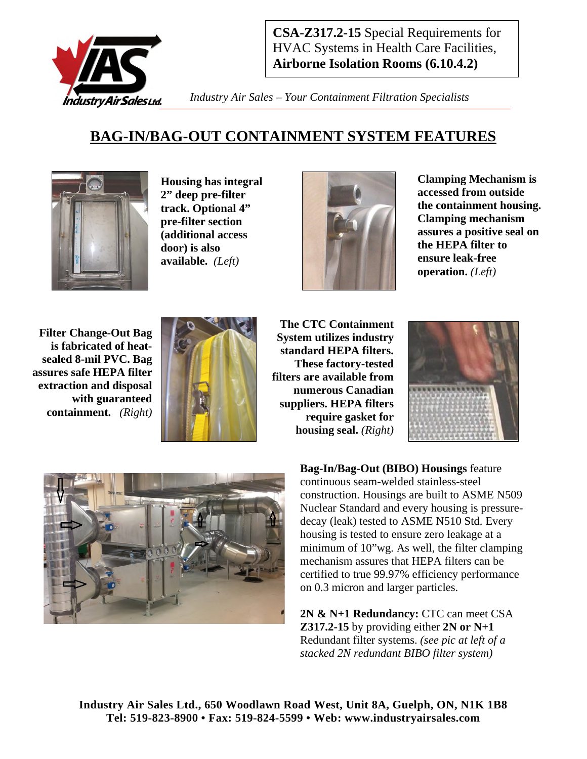

*Industry Air Sales – Your Containment Filtration Specialists* 

### **BAG-IN/BAG-OUT CONTAINMENT SYSTEM FEATURES**



**Housing has integral 2" deep pre-filter track. Optional 4" pre-filter section (additional access door) is also available.** *(Left)* 



**Clamping Mechanism is accessed from outside the containment housing. Clamping mechanism assures a positive seal on the HEPA filter to ensure leak-free operation.** *(Left)*

**Filter Change-Out Bag is fabricated of heatsealed 8-mil PVC. Bag assures safe HEPA filter extraction and disposal with guaranteed containment.** *(Right)* 



**The CTC Containment System utilizes industry standard HEPA filters. These factory-tested filters are available from numerous Canadian suppliers. HEPA filters require gasket for housing seal.** *(Right)*





**Bag-In/Bag-Out (BIBO) Housings** feature continuous seam-welded stainless-steel construction. Housings are built to ASME N509 Nuclear Standard and every housing is pressuredecay (leak) tested to ASME N510 Std. Every housing is tested to ensure zero leakage at a minimum of 10"wg. As well, the filter clamping mechanism assures that HEPA filters can be certified to true 99.97% efficiency performance on 0.3 micron and larger particles.

**2N & N+1 Redundancy:** CTC can meet CSA **Z317.2-15** by providing either **2N or N+1** Redundant filter systems. *(see pic at left of a stacked 2N redundant BIBO filter system)*